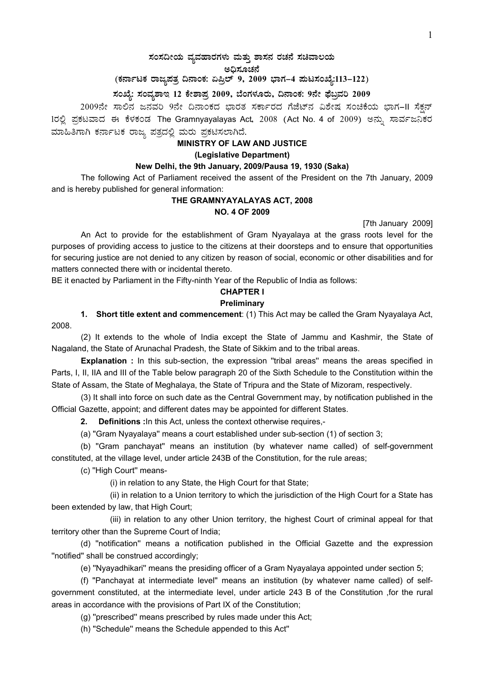## $\,$ ಸಂಸದೀಯ ವ್ಯವಹಾರಗಳು ಮತ್ತು ಶಾಸನ ರಚನೆ ಸಚಿವಾಲಯ ಅಧಿಸೂಚನೆ

(ಕರ್ನಾಟಕ ರಾಜ್ಯಪತ್ರ ದಿನಾಂಕ: ಏಪ್ರಿಲ್ 9, 2009 ಭಾಗ–4 **ಪುಟಸಂಖ್ಯೆ:113–122**)

## **¸ÀASÉå: ¸ÀAªÀå±ÁE 12 PÉñÁ¥Àæ 2009, ¨ÉAUÀ¼ÀÆgÀÄ, ¢£ÁAPÀ: 9£Éà ¥sɧæªÀj 2009**

2009ನೇ ಸಾಲಿನ ಜನವರಿ 9ನೇ ದಿನಾಂಕದ ಭಾರತ ಸರ್ಕಾರದ ಗೆಜೆಟ್ನ ವಿಶೇಷ ಸಂಚಿಕೆಯ ಭಾಗ-II ಸೆಕ್ಷನ್ 1ರಲ್ಲಿ ಪ್ರಕಟವಾದ ಈ ಕೆಳಕಂಡ The Gramnyayalayas Act, 2008 (Act No. 4 of 2009) ಅನ್ನು ಸಾರ್ವಜನಿಕರ ಮಾಹಿತಿಗಾಗಿ ಕರ್ನಾಟಕ ರಾಜ್ಯ ಪತ್ರದಲ್ಲಿ ಮರು ಪ್ರಕಟಿಸಲಾಗಿದೆ.

#### **MINISTRY OF LAW AND JUSTICE**

#### **(Legislative Department)**

## **New Delhi, the 9th January, 2009/Pausa 19, 1930 (Saka)**

 The following Act of Parliament received the assent of the President on the 7th January, 2009 and is hereby published for general information:

### **THE GRAMNYAYALAYAS ACT, 2008 NO. 4 OF 2009**

[7th January 2009]

 An Act to provide for the establishment of Gram Nyayalaya at the grass roots level for the purposes of providing access to justice to the citizens at their doorsteps and to ensure that opportunities for securing justice are not denied to any citizen by reason of social, economic or other disabilities and for matters connected there with or incidental thereto.

BE it enacted by Parliament in the Fifty-ninth Year of the Republic of India as follows:

## **CHAPTER I**

#### **Preliminary**

**1.** Short title extent and commencement: (1) This Act may be called the Gram Nyayalaya Act, 2008.

 (2) It extends to the whole of India except the State of Jammu and Kashmir, the State of Nagaland, the State of Arunachal Pradesh, the State of Sikkim and to the tribal areas.

**Explanation :** In this sub-section, the expression "tribal areas" means the areas specified in Parts, I, II, IIA and III of the Table below paragraph 20 of the Sixth Schedule to the Constitution within the State of Assam, the State of Meghalaya, the State of Tripura and the State of Mizoram, respectively.

 (3) It shall into force on such date as the Central Government may, by notification published in the Official Gazette, appoint; and different dates may be appointed for different States.

**2. Definitions :**In this Act, unless the context otherwise requires,-

(a) ''Gram Nyayalaya'' means a court established under sub-section (1) of section 3;

 (b) ''Gram panchayat'' means an institution (by whatever name called) of self-government constituted, at the village level, under article 243B of the Constitution, for the rule areas;

(c) ''High Court'' means-

(i) in relation to any State, the High Court for that State;

 (ii) in relation to a Union territory to which the jurisdiction of the High Court for a State has been extended by law, that High Court;

 (iii) in relation to any other Union territory, the highest Court of criminal appeal for that territory other than the Supreme Court of India;

 (d) ''notification'' means a notification published in the Official Gazette and the expression ''notified'' shall be construed accordingly;

(e) ''Nyayadhikari'' means the presiding officer of a Gram Nyayalaya appointed under section 5;

 (f) ''Panchayat at intermediate level'' means an institution (by whatever name called) of selfgovernment constituted, at the intermediate level, under article 243 B of the Constitution ,for the rural areas in accordance with the provisions of Part IX of the Constitution;

(g) ''prescribed'' means prescribed by rules made under this Act;

(h) ''Schedule'' means the Schedule appended to this Act''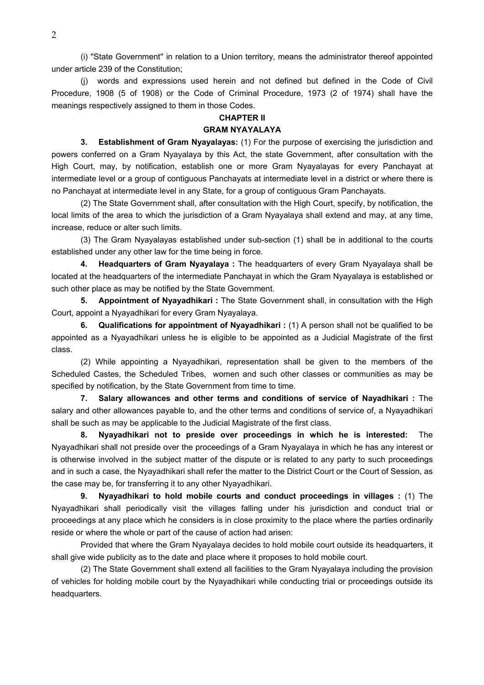(i) ''State Government'' in relation to a Union territory, means the administrator thereof appointed under article 239 of the Constitution;

 (j) words and expressions used herein and not defined but defined in the Code of Civil Procedure, 1908 (5 of 1908) or the Code of Criminal Procedure, 1973 (2 of 1974) shall have the meanings respectively assigned to them in those Codes.

## **CHAPTER II**

## **GRAM NYAYALAYA**

 **3. Establishment of Gram Nyayalayas:** (1) For the purpose of exercising the jurisdiction and powers conferred on a Gram Nyayalaya by this Act, the state Government, after consultation with the High Court, may, by notification, establish one or more Gram Nyayalayas for every Panchayat at intermediate level or a group of contiguous Panchayats at intermediate level in a district or where there is no Panchayat at intermediate level in any State, for a group of contiguous Gram Panchayats.

(2) The State Government shall, after consultation with the High Court, specify, by notification, the local limits of the area to which the jurisdiction of a Gram Nyayalaya shall extend and may, at any time, increase, reduce or alter such limits.

 (3) The Gram Nyayalayas established under sub-section (1) shall be in additional to the courts established under any other law for the time being in force.

**4. Headquarters of Gram Nyayalaya :** The headquarters of every Gram Nyayalaya shall be located at the headquarters of the intermediate Panchayat in which the Gram Nyayalaya is established or such other place as may be notified by the State Government.

**5. Appointment of Nyayadhikari :** The State Government shall, in consultation with the High Court, appoint a Nyayadhikari for every Gram Nyayalaya.

**6. Qualifications for appointment of Nyayadhikari :** (1) A person shall not be qualified to be appointed as a Nyayadhikari unless he is eligible to be appointed as a Judicial Magistrate of the first class.

 (2) While appointing a Nyayadhikari, representation shall be given to the members of the Scheduled Castes, the Scheduled Tribes, women and such other classes or communities as may be specified by notification, by the State Government from time to time.

**7. Salary allowances and other terms and conditions of service of Nayadhikari :** The salary and other allowances payable to, and the other terms and conditions of service of, a Nyayadhikari shall be such as may be applicable to the Judicial Magistrate of the first class.

**8. Nyayadhikari not to preside over proceedings in which he is interested:** The Nyayadhikari shall not preside over the proceedings of a Gram Nyayalaya in which he has any interest or is otherwise involved in the subject matter of the dispute or is related to any party to such proceedings and in such a case, the Nyayadhikari shall refer the matter to the District Court or the Court of Session, as the case may be, for transferring it to any other Nyayadhikari.

**9. Nyayadhikari to hold mobile courts and conduct proceedings in villages :** (1) The Nyayadhikari shall periodically visit the villages falling under his jurisdiction and conduct trial or proceedings at any place which he considers is in close proximity to the place where the parties ordinarily reside or where the whole or part of the cause of action had arisen:

 Provided that where the Gram Nyayalaya decides to hold mobile court outside its headquarters, it shall give wide publicity as to the date and place where it proposes to hold mobile court.

 (2) The State Government shall extend all facilities to the Gram Nyayalaya including the provision of vehicles for holding mobile court by the Nyayadhikari while conducting trial or proceedings outside its headquarters.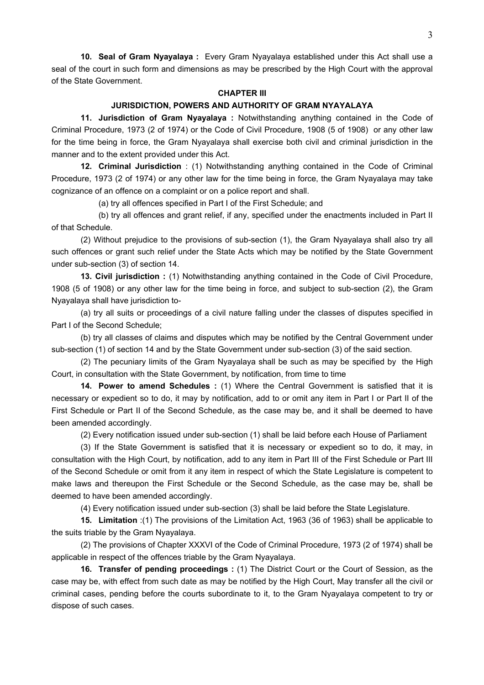**10. Seal of Gram Nyayalaya :** Every Gram Nyayalaya established under this Act shall use a seal of the court in such form and dimensions as may be prescribed by the High Court with the approval of the State Government.

## **CHAPTER III**

## **JURISDICTION, POWERS AND AUTHORITY OF GRAM NYAYALAYA**

 **11. Jurisdiction of Gram Nyayalaya :** Notwithstanding anything contained in the Code of Criminal Procedure, 1973 (2 of 1974) or the Code of Civil Procedure, 1908 (5 of 1908) or any other law for the time being in force, the Gram Nyayalaya shall exercise both civil and criminal jurisdiction in the manner and to the extent provided under this Act.

 **12. Criminal Jurisdiction** : (1) Notwithstanding anything contained in the Code of Criminal Procedure, 1973 (2 of 1974) or any other law for the time being in force, the Gram Nyayalaya may take cognizance of an offence on a complaint or on a police report and shall.

(a) try all offences specified in Part I of the First Schedule; and

 (b) try all offences and grant relief, if any, specified under the enactments included in Part II of that Schedule.

 (2) Without prejudice to the provisions of sub-section (1), the Gram Nyayalaya shall also try all such offences or grant such relief under the State Acts which may be notified by the State Government under sub-section (3) of section 14.

**13. Civil jurisdiction :** (1) Notwithstanding anything contained in the Code of Civil Procedure, 1908 (5 of 1908) or any other law for the time being in force, and subject to sub-section (2), the Gram Nyayalaya shall have jurisdiction to-

 (a) try all suits or proceedings of a civil nature falling under the classes of disputes specified in Part I of the Second Schedule;

 (b) try all classes of claims and disputes which may be notified by the Central Government under sub-section (1) of section 14 and by the State Government under sub-section (3) of the said section.

 (2) The pecuniary limits of the Gram Nyayalaya shall be such as may be specified by the High Court, in consultation with the State Government, by notification, from time to time

**14. Power to amend Schedules :** (1) Where the Central Government is satisfied that it is necessary or expedient so to do, it may by notification, add to or omit any item in Part I or Part II of the First Schedule or Part II of the Second Schedule, as the case may be, and it shall be deemed to have been amended accordingly.

(2) Every notification issued under sub-section (1) shall be laid before each House of Parliament

 (3) If the State Government is satisfied that it is necessary or expedient so to do, it may, in consultation with the High Court, by notification, add to any item in Part III of the First Schedule or Part III of the Second Schedule or omit from it any item in respect of which the State Legislature is competent to make laws and thereupon the First Schedule or the Second Schedule, as the case may be, shall be deemed to have been amended accordingly.

(4) Every notification issued under sub-section (3) shall be laid before the State Legislature.

**15. Limitation** :(1) The provisions of the Limitation Act, 1963 (36 of 1963) shall be applicable to the suits triable by the Gram Nyayalaya.

 (2) The provisions of Chapter XXXVI of the Code of Criminal Procedure, 1973 (2 of 1974) shall be applicable in respect of the offences triable by the Gram Nyayalaya.

**16. Transfer of pending proceedings :** (1) The District Court or the Court of Session, as the case may be, with effect from such date as may be notified by the High Court, May transfer all the civil or criminal cases, pending before the courts subordinate to it, to the Gram Nyayalaya competent to try or dispose of such cases.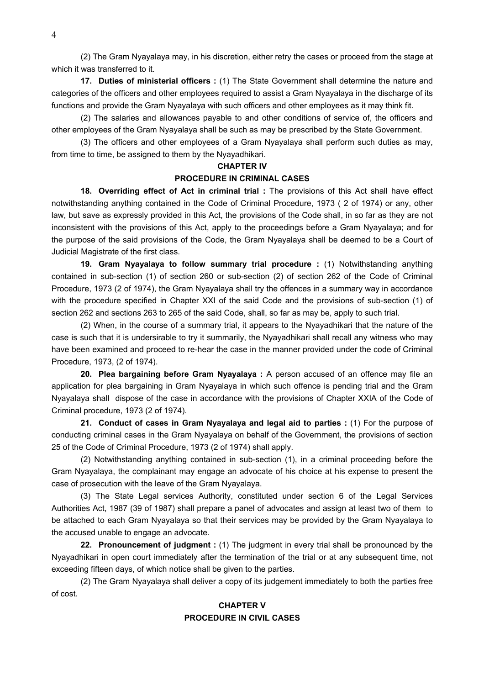(2) The Gram Nyayalaya may, in his discretion, either retry the cases or proceed from the stage at which it was transferred to it.

**17. Duties of ministerial officers :** (1) The State Government shall determine the nature and categories of the officers and other employees required to assist a Gram Nyayalaya in the discharge of its functions and provide the Gram Nyayalaya with such officers and other employees as it may think fit.

 (2) The salaries and allowances payable to and other conditions of service of, the officers and other employees of the Gram Nyayalaya shall be such as may be prescribed by the State Government.

 (3) The officers and other employees of a Gram Nyayalaya shall perform such duties as may, from time to time, be assigned to them by the Nyayadhikari.

#### **CHAPTER IV**

#### **PROCEDURE IN CRIMINAL CASES**

 **18. Overriding effect of Act in criminal trial :** The provisions of this Act shall have effect notwithstanding anything contained in the Code of Criminal Procedure, 1973 ( 2 of 1974) or any, other law, but save as expressly provided in this Act, the provisions of the Code shall, in so far as they are not inconsistent with the provisions of this Act, apply to the proceedings before a Gram Nyayalaya; and for the purpose of the said provisions of the Code, the Gram Nyayalaya shall be deemed to be a Court of Judicial Magistrate of the first class.

 **19. Gram Nyayalaya to follow summary trial procedure :** (1) Notwithstanding anything contained in sub-section (1) of section 260 or sub-section (2) of section 262 of the Code of Criminal Procedure, 1973 (2 of 1974), the Gram Nyayalaya shall try the offences in a summary way in accordance with the procedure specified in Chapter XXI of the said Code and the provisions of sub-section (1) of section 262 and sections 263 to 265 of the said Code, shall, so far as may be, apply to such trial.

 (2) When, in the course of a summary trial, it appears to the Nyayadhikari that the nature of the case is such that it is undersirable to try it summarily, the Nyayadhikari shall recall any witness who may have been examined and proceed to re-hear the case in the manner provided under the code of Criminal Procedure, 1973, (2 of 1974).

**20. Plea bargaining before Gram Nyayalaya :** A person accused of an offence may file an application for plea bargaining in Gram Nyayalaya in which such offence is pending trial and the Gram Nyayalaya shall dispose of the case in accordance with the provisions of Chapter XXIA of the Code of Criminal procedure, 1973 (2 of 1974).

**21. Conduct of cases in Gram Nyayalaya and legal aid to parties :** (1) For the purpose of conducting criminal cases in the Gram Nyayalaya on behalf of the Government, the provisions of section 25 of the Code of Criminal Procedure, 1973 (2 of 1974) shall apply.

 (2) Notwithstanding anything contained in sub-section (1), in a criminal proceeding before the Gram Nyayalaya, the complainant may engage an advocate of his choice at his expense to present the case of prosecution with the leave of the Gram Nyayalaya.

 (3) The State Legal services Authority, constituted under section 6 of the Legal Services Authorities Act, 1987 (39 of 1987) shall prepare a panel of advocates and assign at least two of them to be attached to each Gram Nyayalaya so that their services may be provided by the Gram Nyayalaya to the accused unable to engage an advocate.

**22. Pronouncement of judgment :** (1) The judgment in every trial shall be pronounced by the Nyayadhikari in open court immediately after the termination of the trial or at any subsequent time, not exceeding fifteen days, of which notice shall be given to the parties.

 (2) The Gram Nyayalaya shall deliver a copy of its judgement immediately to both the parties free of cost.

## **CHAPTER V PROCEDURE IN CIVIL CASES**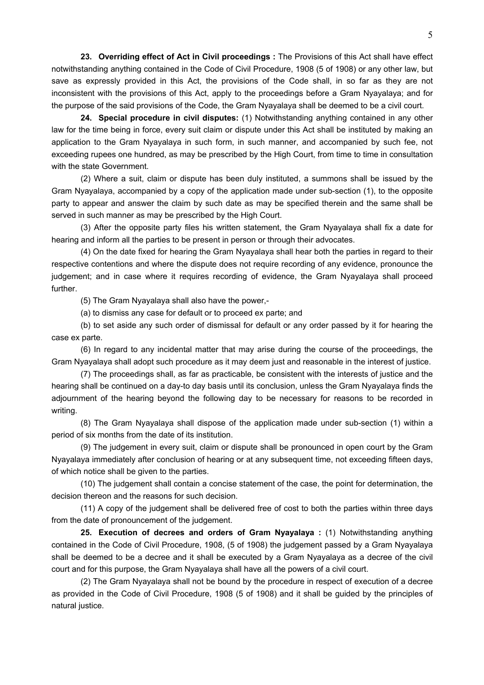**23. Overriding effect of Act in Civil proceedings :** The Provisions of this Act shall have effect notwithstanding anything contained in the Code of Civil Procedure, 1908 (5 of 1908) or any other law, but save as expressly provided in this Act, the provisions of the Code shall, in so far as they are not inconsistent with the provisions of this Act, apply to the proceedings before a Gram Nyayalaya; and for the purpose of the said provisions of the Code, the Gram Nyayalaya shall be deemed to be a civil court.

 **24. Special procedure in civil disputes:** (1) Notwithstanding anything contained in any other law for the time being in force, every suit claim or dispute under this Act shall be instituted by making an application to the Gram Nyayalaya in such form, in such manner, and accompanied by such fee, not exceeding rupees one hundred, as may be prescribed by the High Court, from time to time in consultation with the state Government.

 (2) Where a suit, claim or dispute has been duly instituted, a summons shall be issued by the Gram Nyayalaya, accompanied by a copy of the application made under sub-section (1), to the opposite party to appear and answer the claim by such date as may be specified therein and the same shall be served in such manner as may be prescribed by the High Court.

 (3) After the opposite party files his written statement, the Gram Nyayalaya shall fix a date for hearing and inform all the parties to be present in person or through their advocates.

 (4) On the date fixed for hearing the Gram Nyayalaya shall hear both the parties in regard to their respective contentions and where the dispute does not require recording of any evidence, pronounce the judgement; and in case where it requires recording of evidence, the Gram Nyayalaya shall proceed further.

(5) The Gram Nyayalaya shall also have the power,-

(a) to dismiss any case for default or to proceed ex parte; and

 (b) to set aside any such order of dismissal for default or any order passed by it for hearing the case ex parte.

 (6) In regard to any incidental matter that may arise during the course of the proceedings, the Gram Nyayalaya shall adopt such procedure as it may deem just and reasonable in the interest of justice.

 (7) The proceedings shall, as far as practicable, be consistent with the interests of justice and the hearing shall be continued on a day-to day basis until its conclusion, unless the Gram Nyayalaya finds the adjournment of the hearing beyond the following day to be necessary for reasons to be recorded in writing.

 (8) The Gram Nyayalaya shall dispose of the application made under sub-section (1) within a period of six months from the date of its institution.

 (9) The judgement in every suit, claim or dispute shall be pronounced in open court by the Gram Nyayalaya immediately after conclusion of hearing or at any subsequent time, not exceeding fifteen days, of which notice shall be given to the parties.

 (10) The judgement shall contain a concise statement of the case, the point for determination, the decision thereon and the reasons for such decision.

 (11) A copy of the judgement shall be delivered free of cost to both the parties within three days from the date of pronouncement of the judgement.

**25. Execution of decrees and orders of Gram Nyayalaya :** (1) Notwithstanding anything contained in the Code of Civil Procedure, 1908, (5 of 1908) the judgement passed by a Gram Nyayalaya shall be deemed to be a decree and it shall be executed by a Gram Nyayalaya as a decree of the civil court and for this purpose, the Gram Nyayalaya shall have all the powers of a civil court.

 (2) The Gram Nyayalaya shall not be bound by the procedure in respect of execution of a decree as provided in the Code of Civil Procedure, 1908 (5 of 1908) and it shall be guided by the principles of natural justice.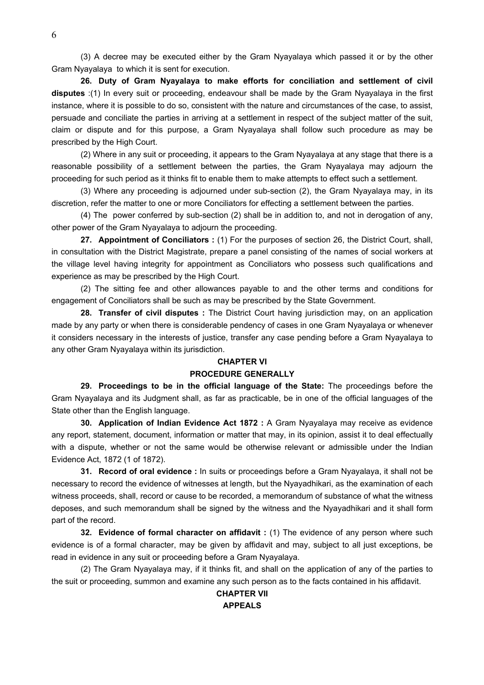(3) A decree may be executed either by the Gram Nyayalaya which passed it or by the other Gram Nyayalaya to which it is sent for execution.

**26. Duty of Gram Nyayalaya to make efforts for conciliation and settlement of civil disputes** :(1) In every suit or proceeding, endeavour shall be made by the Gram Nyayalaya in the first instance, where it is possible to do so, consistent with the nature and circumstances of the case, to assist, persuade and conciliate the parties in arriving at a settlement in respect of the subject matter of the suit, claim or dispute and for this purpose, a Gram Nyayalaya shall follow such procedure as may be prescribed by the High Court.

 (2) Where in any suit or proceeding, it appears to the Gram Nyayalaya at any stage that there is a reasonable possibility of a settlement between the parties, the Gram Nyayalaya may adjourn the proceeding for such period as it thinks fit to enable them to make attempts to effect such a settlement.

 (3) Where any proceeding is adjourned under sub-section (2), the Gram Nyayalaya may, in its discretion, refer the matter to one or more Conciliators for effecting a settlement between the parties.

 (4) The power conferred by sub-section (2) shall be in addition to, and not in derogation of any, other power of the Gram Nyayalaya to adjourn the proceeding.

**27. Appointment of Conciliators :** (1) For the purposes of section 26, the District Court, shall, in consultation with the District Magistrate, prepare a panel consisting of the names of social workers at the village level having integrity for appointment as Conciliators who possess such qualifications and experience as may be prescribed by the High Court.

 (2) The sitting fee and other allowances payable to and the other terms and conditions for engagement of Conciliators shall be such as may be prescribed by the State Government.

**28. Transfer of civil disputes :** The District Court having jurisdiction may, on an application made by any party or when there is considerable pendency of cases in one Gram Nyayalaya or whenever it considers necessary in the interests of justice, transfer any case pending before a Gram Nyayalaya to any other Gram Nyayalaya within its jurisdiction.

## **CHAPTER VI**

### **PROCEDURE GENERALLY**

 **29. Proceedings to be in the official language of the State:** The proceedings before the Gram Nyayalaya and its Judgment shall, as far as practicable, be in one of the official languages of the State other than the English language.

 **30. Application of Indian Evidence Act 1872 :** A Gram Nyayalaya may receive as evidence any report, statement, document, information or matter that may, in its opinion, assist it to deal effectually with a dispute, whether or not the same would be otherwise relevant or admissible under the Indian Evidence Act, 1872 (1 of 1872).

**31. Record of oral evidence :** In suits or proceedings before a Gram Nyayalaya, it shall not be necessary to record the evidence of witnesses at length, but the Nyayadhikari, as the examination of each witness proceeds, shall, record or cause to be recorded, a memorandum of substance of what the witness deposes, and such memorandum shall be signed by the witness and the Nyayadhikari and it shall form part of the record.

**32. Evidence of formal character on affidavit :** (1) The evidence of any person where such evidence is of a formal character, may be given by affidavit and may, subject to all just exceptions, be read in evidence in any suit or proceeding before a Gram Nyayalaya.

 (2) The Gram Nyayalaya may, if it thinks fit, and shall on the application of any of the parties to the suit or proceeding, summon and examine any such person as to the facts contained in his affidavit.

## **CHAPTER VII APPEALS**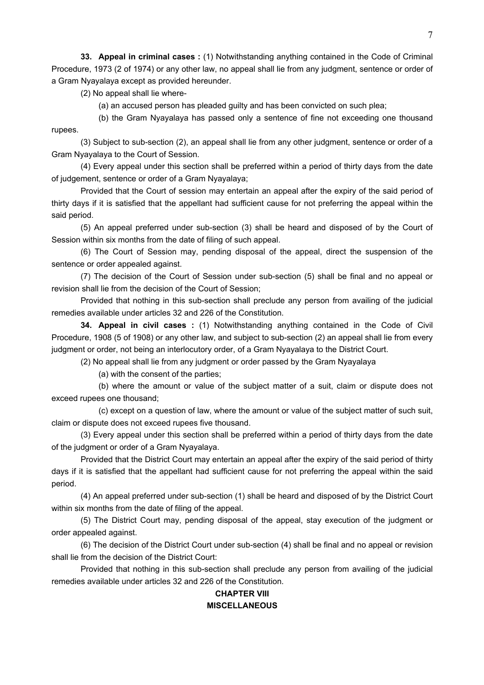**33. Appeal in criminal cases :** (1) Notwithstanding anything contained in the Code of Criminal Procedure, 1973 (2 of 1974) or any other law, no appeal shall lie from any judgment, sentence or order of a Gram Nyayalaya except as provided hereunder.

(2) No appeal shall lie where-

(a) an accused person has pleaded guilty and has been convicted on such plea;

 (b) the Gram Nyayalaya has passed only a sentence of fine not exceeding one thousand rupees.

 (3) Subject to sub-section (2), an appeal shall lie from any other judgment, sentence or order of a Gram Nyayalaya to the Court of Session.

 (4) Every appeal under this section shall be preferred within a period of thirty days from the date of judgement, sentence or order of a Gram Nyayalaya;

 Provided that the Court of session may entertain an appeal after the expiry of the said period of thirty days if it is satisfied that the appellant had sufficient cause for not preferring the appeal within the said period.

 (5) An appeal preferred under sub-section (3) shall be heard and disposed of by the Court of Session within six months from the date of filing of such appeal.

 (6) The Court of Session may, pending disposal of the appeal, direct the suspension of the sentence or order appealed against.

 (7) The decision of the Court of Session under sub-section (5) shall be final and no appeal or revision shall lie from the decision of the Court of Session;

 Provided that nothing in this sub-section shall preclude any person from availing of the judicial remedies available under articles 32 and 226 of the Constitution.

**34. Appeal in civil cases :** (1) Notwithstanding anything contained in the Code of Civil Procedure, 1908 (5 of 1908) or any other law, and subject to sub-section (2) an appeal shall lie from every judgment or order, not being an interlocutory order, of a Gram Nyayalaya to the District Court.

(2) No appeal shall lie from any judgment or order passed by the Gram Nyayalaya

(a) with the consent of the parties;

 (b) where the amount or value of the subject matter of a suit, claim or dispute does not exceed rupees one thousand;

 (c) except on a question of law, where the amount or value of the subject matter of such suit, claim or dispute does not exceed rupees five thousand.

 (3) Every appeal under this section shall be preferred within a period of thirty days from the date of the judgment or order of a Gram Nyayalaya.

 Provided that the District Court may entertain an appeal after the expiry of the said period of thirty days if it is satisfied that the appellant had sufficient cause for not preferring the appeal within the said period.

 (4) An appeal preferred under sub-section (1) shall be heard and disposed of by the District Court within six months from the date of filing of the appeal.

 (5) The District Court may, pending disposal of the appeal, stay execution of the judgment or order appealed against.

 (6) The decision of the District Court under sub-section (4) shall be final and no appeal or revision shall lie from the decision of the District Court:

 Provided that nothing in this sub-section shall preclude any person from availing of the judicial remedies available under articles 32 and 226 of the Constitution.

## **CHAPTER VIII MISCELLANEOUS**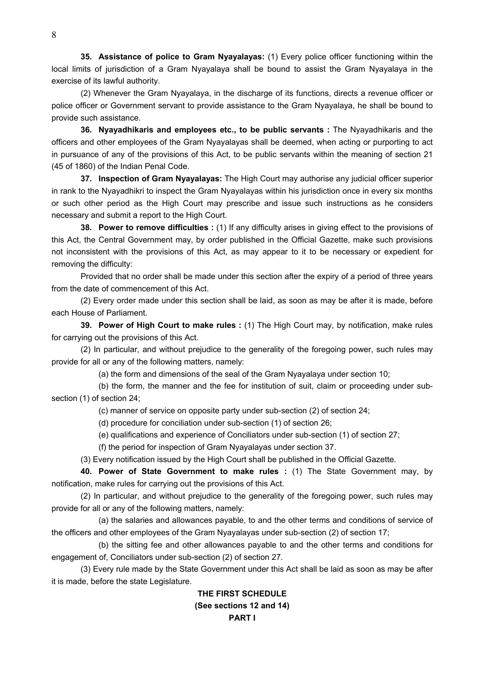**35. Assistance of police to Gram Nyayalayas:** (1) Every police officer functioning within the local limits of jurisdiction of a Gram Nyayalaya shall be bound to assist the Gram Nyayalaya in the exercise of its lawful authority.

 (2) Whenever the Gram Nyayalaya, in the discharge of its functions, directs a revenue officer or police officer or Government servant to provide assistance to the Gram Nyayalaya, he shall be bound to provide such assistance.

**36. Nyayadhikaris and employees etc., to be public servants :** The Nyayadhikaris and the officers and other employees of the Gram Nyayalayas shall be deemed, when acting or purporting to act in pursuance of any of the provisions of this Act, to be public servants within the meaning of section 21 (45 of 1860) of the Indian Penal Code.

**37. Inspection of Gram Nyayalayas:** The High Court may authorise any judicial officer superior in rank to the Nyayadhikri to inspect the Gram Nyayalayas within his jurisdiction once in every six months or such other period as the High Court may prescribe and issue such instructions as he considers necessary and submit a report to the High Court.

**38. Power to remove difficulties :** (1) If any difficulty arises in giving effect to the provisions of this Act, the Central Government may, by order published in the Official Gazette, make such provisions not inconsistent with the provisions of this Act, as may appear to it to be necessary or expedient for removing the difficulty:

 Provided that no order shall be made under this section after the expiry of a period of three years from the date of commencement of this Act.

 (2) Every order made under this section shall be laid, as soon as may be after it is made, before each House of Parliament.

**39. Power of High Court to make rules :** (1) The High Court may, by notification, make rules for carrying out the provisions of this Act.

 (2) In particular, and without prejudice to the generality of the foregoing power, such rules may provide for all or any of the following matters, namely:

(a) the form and dimensions of the seal of the Gram Nyayalaya under section 10;

 (b) the form, the manner and the fee for institution of suit, claim or proceeding under subsection (1) of section 24;

(c) manner of service on opposite party under sub-section (2) of section 24;

(d) procedure for conciliation under sub-section (1) of section 26;

(e) qualifications and experience of Conciliators under sub-section (1) of section 27;

(f) the period for inspection of Gram Nyayalayas under section 37.

(3) Every notification issued by the High Court shall be published in the Official Gazette.

**40. Power of State Government to make rules :** (1) The State Government may, by notification, make rules for carrying out the provisions of this Act.

 (2) In particular, and without prejudice to the generality of the foregoing power, such rules may provide for all or any of the following matters, namely:

 (a) the salaries and allowances payable, to and the other terms and conditions of service of the officers and other employees of the Gram Nyayalayas under sub-section (2) of section 17;

 (b) the sitting fee and other allowances payable to and the other terms and conditions for engagement of, Conciliators under sub-section (2) of section 27.

 (3) Every rule made by the State Government under this Act shall be laid as soon as may be after it is made, before the state Legislature.

# **THE FIRST SCHEDULE (See sections 12 and 14) PART I**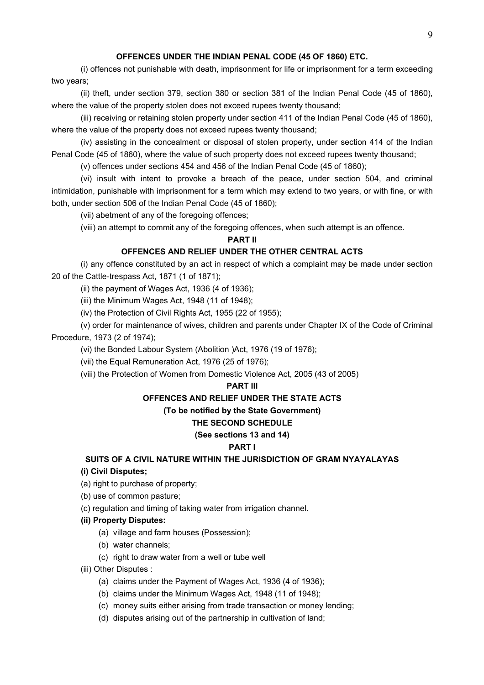## **OFFENCES UNDER THE INDIAN PENAL CODE (45 OF 1860) ETC.**

(i) offences not punishable with death, imprisonment for life or imprisonment for a term exceeding two years;

 (ii) theft, under section 379, section 380 or section 381 of the Indian Penal Code (45 of 1860), where the value of the property stolen does not exceed rupees twenty thousand;

 (iii) receiving or retaining stolen property under section 411 of the Indian Penal Code (45 of 1860), where the value of the property does not exceed rupees twenty thousand;

 (iv) assisting in the concealment or disposal of stolen property, under section 414 of the Indian Penal Code (45 of 1860), where the value of such property does not exceed rupees twenty thousand;

(v) offences under sections 454 and 456 of the Indian Penal Code (45 of 1860);

 (vi) insult with intent to provoke a breach of the peace, under section 504, and criminal intimidation, punishable with imprisonment for a term which may extend to two years, or with fine, or with both, under section 506 of the Indian Penal Code (45 of 1860);

(vii) abetment of any of the foregoing offences;

(viii) an attempt to commit any of the foregoing offences, when such attempt is an offence.

#### **PART II**

## **OFFENCES AND RELIEF UNDER THE OTHER CENTRAL ACTS**

 (i) any offence constituted by an act in respect of which a complaint may be made under section 20 of the Cattle-trespass Act, 1871 (1 of 1871);

(ii) the payment of Wages Act, 1936 (4 of 1936);

(iii) the Minimum Wages Act, 1948 (11 of 1948);

(iv) the Protection of Civil Rights Act, 1955 (22 of 1955);

 (v) order for maintenance of wives, children and parents under Chapter IX of the Code of Criminal Procedure, 1973 (2 of 1974);

(vi) the Bonded Labour System (Abolition )Act, 1976 (19 of 1976);

(vii) the Equal Remuneration Act, 1976 (25 of 1976);

(viii) the Protection of Women from Domestic Violence Act, 2005 (43 of 2005)

### **PART III**

## **OFFENCES AND RELIEF UNDER THE STATE ACTS**

# **(To be notified by the State Government)**

# **THE SECOND SCHEDULE**

## **(See sections 13 and 14)**

## **PART I**

**SUITS OF A CIVIL NATURE WITHIN THE JURISDICTION OF GRAM NYAYALAYAS** 

## **(i) Civil Disputes;**

(a) right to purchase of property;

- (b) use of common pasture;
- (c) regulation and timing of taking water from irrigation channel.

## **(ii) Property Disputes:**

- (a) village and farm houses (Possession);
- (b) water channels;
- (c) right to draw water from a well or tube well
- (iii) Other Disputes :
	- (a) claims under the Payment of Wages Act, 1936 (4 of 1936);
	- (b) claims under the Minimum Wages Act, 1948 (11 of 1948);
	- (c) money suits either arising from trade transaction or money lending;
	- (d) disputes arising out of the partnership in cultivation of land;